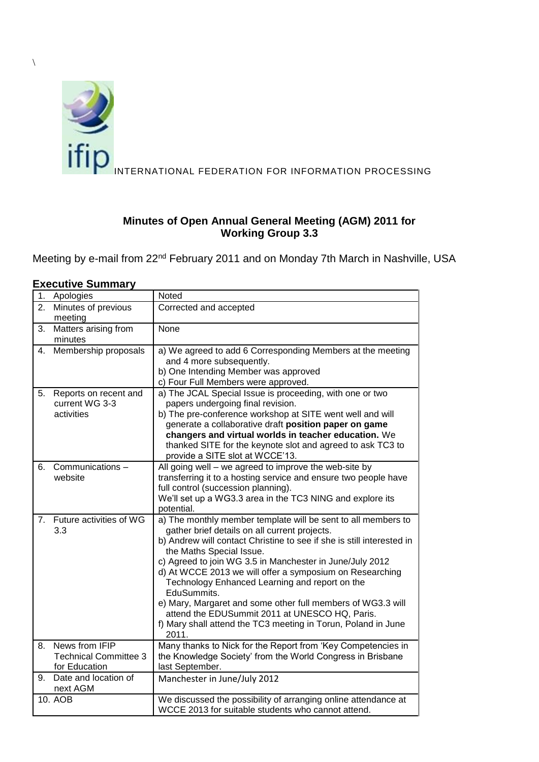

# **Minutes of Open Annual General Meeting (AGM) 2011 for Working Group 3.3**

Meeting by e-mail from 22nd February 2011 and on Monday 7th March in Nashville, USA

|    | ,,,,,,,,,,,                                                     |                                                                                                                                                                                                                                                                                                                                                                                                                                                                                                                                                                                                         |
|----|-----------------------------------------------------------------|---------------------------------------------------------------------------------------------------------------------------------------------------------------------------------------------------------------------------------------------------------------------------------------------------------------------------------------------------------------------------------------------------------------------------------------------------------------------------------------------------------------------------------------------------------------------------------------------------------|
| 1. | Apologies                                                       | Noted                                                                                                                                                                                                                                                                                                                                                                                                                                                                                                                                                                                                   |
| 2. | Minutes of previous<br>meeting                                  | Corrected and accepted                                                                                                                                                                                                                                                                                                                                                                                                                                                                                                                                                                                  |
| 3. | Matters arising from<br>minutes                                 | None                                                                                                                                                                                                                                                                                                                                                                                                                                                                                                                                                                                                    |
| 4. | Membership proposals                                            | a) We agreed to add 6 Corresponding Members at the meeting<br>and 4 more subsequently.<br>b) One Intending Member was approved<br>c) Four Full Members were approved.                                                                                                                                                                                                                                                                                                                                                                                                                                   |
| 5. | Reports on recent and<br>current WG 3-3<br>activities           | a) The JCAL Special Issue is proceeding, with one or two<br>papers undergoing final revision.<br>b) The pre-conference workshop at SITE went well and will<br>generate a collaborative draft position paper on game<br>changers and virtual worlds in teacher education. We<br>thanked SITE for the keynote slot and agreed to ask TC3 to<br>provide a SITE slot at WCCE'13.                                                                                                                                                                                                                            |
| 6. | Communications -<br>website                                     | All going well - we agreed to improve the web-site by<br>transferring it to a hosting service and ensure two people have<br>full control (succession planning).<br>We'll set up a WG3.3 area in the TC3 NING and explore its<br>potential.                                                                                                                                                                                                                                                                                                                                                              |
| 7. | Future activities of WG<br>3.3                                  | a) The monthly member template will be sent to all members to<br>gather brief details on all current projects.<br>b) Andrew will contact Christine to see if she is still interested in<br>the Maths Special Issue.<br>c) Agreed to join WG 3.5 in Manchester in June/July 2012<br>d) At WCCE 2013 we will offer a symposium on Researching<br>Technology Enhanced Learning and report on the<br>EduSummits.<br>e) Mary, Margaret and some other full members of WG3.3 will<br>attend the EDUSummit 2011 at UNESCO HQ, Paris.<br>f) Mary shall attend the TC3 meeting in Torun, Poland in June<br>2011. |
| 8. | News from IFIP<br><b>Technical Committee 3</b><br>for Education | Many thanks to Nick for the Report from 'Key Competencies in<br>the Knowledge Society' from the World Congress in Brisbane<br>last September.                                                                                                                                                                                                                                                                                                                                                                                                                                                           |
| 9. | Date and location of<br>next AGM                                | Manchester in June/July 2012                                                                                                                                                                                                                                                                                                                                                                                                                                                                                                                                                                            |
|    | 10. AOB                                                         | We discussed the possibility of arranging online attendance at<br>WCCE 2013 for suitable students who cannot attend.                                                                                                                                                                                                                                                                                                                                                                                                                                                                                    |

# **Executive Summary**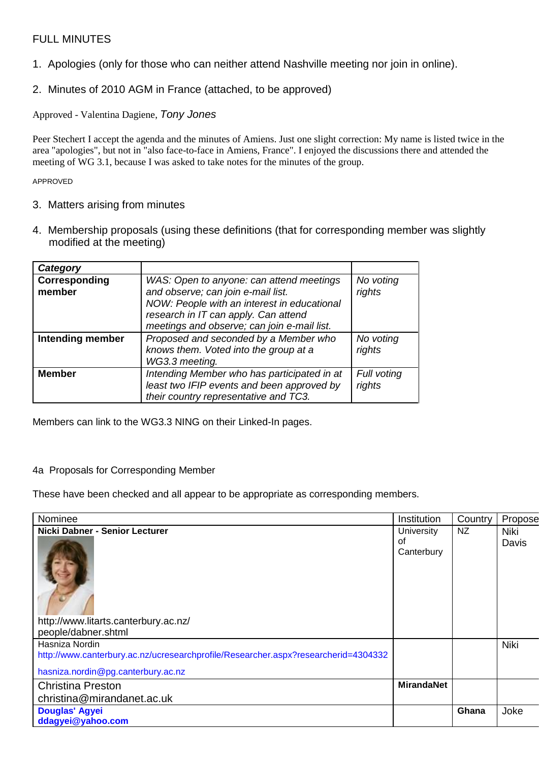# FULL MINUTES

- 1. Apologies (only for those who can neither attend Nashville meeting nor join in online).
- 2. Minutes of 2010 AGM in France (attached, to be approved)

Approved - Valentina Dagiene, *Tony Jones*

Peer Stechert I accept the agenda and the minutes of Amiens. Just one slight correction: My name is listed twice in the area "apologies", but not in "also face-to-face in Amiens, France". I enjoyed the discussions there and attended the meeting of WG 3.1, because I was asked to take notes for the minutes of the group.

APPROVED

### 3. Matters arising from minutes

4. Membership proposals (using these definitions (that for corresponding member was slightly modified at the meeting)

| Category                |                                                                                                                                                                                                                      |                       |
|-------------------------|----------------------------------------------------------------------------------------------------------------------------------------------------------------------------------------------------------------------|-----------------------|
| Corresponding<br>member | WAS: Open to anyone: can attend meetings<br>and observe; can join e-mail list.<br>NOW: People with an interest in educational<br>research in IT can apply. Can attend<br>meetings and observe; can join e-mail list. | No voting<br>rights   |
| Intending member        | Proposed and seconded by a Member who<br>knows them. Voted into the group at a<br>WG3.3 meeting.                                                                                                                     | No voting<br>rights   |
| <b>Member</b>           | Intending Member who has participated in at<br>least two IFIP events and been approved by<br>their country representative and TC3.                                                                                   | Full voting<br>rights |

Members can link to the WG3.3 NING on their Linked-In pages.

#### 4a Proposals for Corresponding Member

These have been checked and all appear to be appropriate as corresponding members.

| Nominee                                                                            | Institution       | Country   | Propose     |
|------------------------------------------------------------------------------------|-------------------|-----------|-------------|
| Nicki Dabner - Senior Lecturer                                                     | University        | <b>NZ</b> | <b>Niki</b> |
|                                                                                    | οf                |           | Davis       |
|                                                                                    | Canterbury        |           |             |
|                                                                                    |                   |           |             |
|                                                                                    |                   |           |             |
|                                                                                    |                   |           |             |
|                                                                                    |                   |           |             |
|                                                                                    |                   |           |             |
| http://www.litarts.canterbury.ac.nz/                                               |                   |           |             |
| people/dabner.shtml                                                                |                   |           |             |
| Hasniza Nordin                                                                     |                   |           | Niki        |
| http://www.canterbury.ac.nz/ucresearchprofile/Researcher.aspx?researcherid=4304332 |                   |           |             |
| hasniza.nordin@pg.canterbury.ac.nz                                                 |                   |           |             |
| <b>Christina Preston</b>                                                           | <b>MirandaNet</b> |           |             |
| christina@mirandanet.ac.uk                                                         |                   |           |             |
| <b>Douglas' Agyei</b>                                                              |                   | Ghana     | Joke        |
| ddagyei@yahoo.com                                                                  |                   |           |             |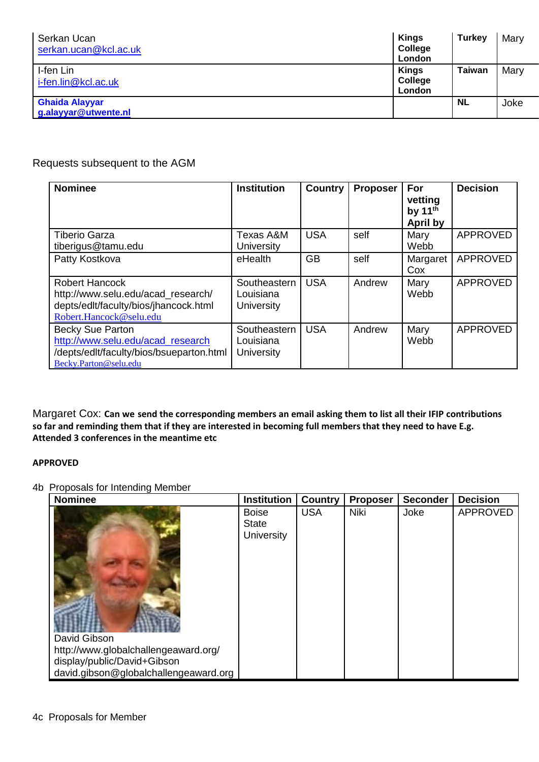| Serkan Ucan<br>serkan.ucan@kcl.ac.uk          | <b>Kings</b><br>College<br>London | <b>Turkey</b> | Mary |
|-----------------------------------------------|-----------------------------------|---------------|------|
| I-fen Lin<br>i-fen.lin@kcl.ac.uk              | <b>Kings</b><br>College<br>London | <b>Taiwan</b> | Mary |
| <b>Ghaida Alayyar</b><br>g.alayyar@utwente.nl |                                   | <b>NL</b>     | Joke |

# Requests subsequent to the AGM

| <b>Nominee</b>                                                                                                                    | <b>Institution</b>                      | <b>Country</b> | <b>Proposer</b> | For<br>vetting<br>by $11th$<br><b>April by</b> | <b>Decision</b> |
|-----------------------------------------------------------------------------------------------------------------------------------|-----------------------------------------|----------------|-----------------|------------------------------------------------|-----------------|
| <b>Tiberio Garza</b><br>tiberigus@tamu.edu                                                                                        | Texas A&M<br><b>University</b>          | <b>USA</b>     | self            | Mary<br>Webb                                   | <b>APPROVED</b> |
| Patty Kostkova                                                                                                                    | eHealth                                 | <b>GB</b>      | self            | Margaret<br>Cox                                | <b>APPROVED</b> |
| <b>Robert Hancock</b><br>http://www.selu.edu/acad research/<br>depts/edlt/faculty/bios/jhancock.html<br>Robert.Hancock@selu.edu   | Southeastern<br>Louisiana<br>University | <b>USA</b>     | Andrew          | Mary<br>Webb                                   | <b>APPROVED</b> |
| <b>Becky Sue Parton</b><br>http://www.selu.edu/acad research<br>/depts/edlt/faculty/bios/bsueparton.html<br>Becky.Parton@selu.edu | Southeastern<br>Louisiana<br>University | <b>USA</b>     | Andrew          | Mary<br>Webb                                   | <b>APPROVED</b> |

Margaret Cox: **Can we send the corresponding members an email asking them to list all their IFIP contributions so far and reminding them that if they are interested in becoming full members that they need to have E.g. Attended 3 conferences in the meantime etc**

#### **APPROVED**

#### 4b Proposals for Intending Member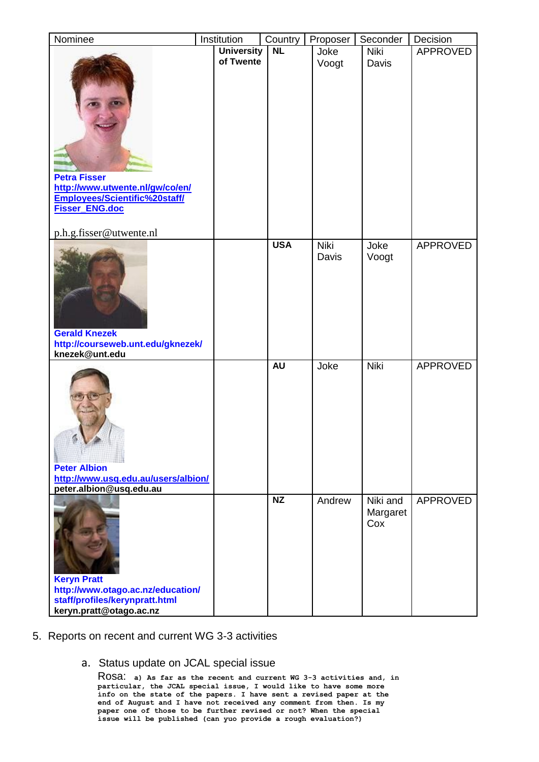| Nominee                                                                                                              | Institution       | Country    | Proposer             | Seconder                    | Decision        |
|----------------------------------------------------------------------------------------------------------------------|-------------------|------------|----------------------|-----------------------------|-----------------|
|                                                                                                                      | <b>University</b> | <b>NL</b>  | Joke                 | Niki                        | <b>APPROVED</b> |
| <b>Petra Fisser</b><br>http://www.utwente.nl/gw/co/en/<br>Employees/Scientific%20staff/<br>Fisser_ENG.doc            | of Twente         |            | Voogt                | Davis                       |                 |
| p.h.g.fisser@utwente.nl                                                                                              |                   | <b>USA</b> |                      |                             |                 |
| <b>Gerald Knezek</b><br>http://courseweb.unt.edu/gknezek/<br>knezek@unt.edu                                          |                   |            | <b>Niki</b><br>Davis | Joke<br>Voogt               | <b>APPROVED</b> |
|                                                                                                                      |                   | <b>AU</b>  | Joke                 | Niki                        | <b>APPROVED</b> |
| <b>Peter Albion</b><br>http://www.usq.edu.au/users/albion/<br>peter.albion@usq.edu.au                                |                   |            |                      |                             |                 |
| <b>Keryn Pratt</b><br>http://www.otago.ac.nz/education/<br>staff/profiles/kerynpratt.html<br>keryn.pratt@otago.ac.nz |                   | NZ         | Andrew               | Niki and<br>Margaret<br>Cox | <b>APPROVED</b> |

# 5. Reports on recent and current WG 3-3 activities

#### a. Status update on JCAL special issue

Rosa: **a) As far as the recent and current WG 3-3 activities and, in particular, the JCAL special issue, I would like to have some more info on the state of the papers. I have sent a revised paper at the end of August and I have not received any comment from then. Is my paper one of those to be further revised or not? When the special issue will be published (can yuo provide a rough evaluation?)**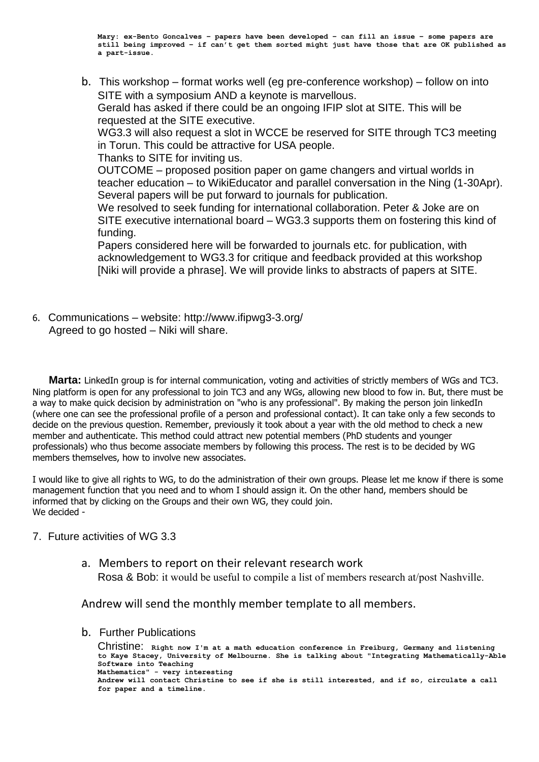**Mary: ex-Bento Goncalves – papers have been developed – can fill an issue – some papers are still being improved – if can't get them sorted might just have those that are OK published as a part-issue.**

b. This workshop – format works well (eg pre-conference workshop) – follow on into SITE with a symposium AND a keynote is marvellous. Gerald has asked if there could be an ongoing IFIP slot at SITE. This will be requested at the SITE executive. WG3.3 will also request a slot in WCCE be reserved for SITE through TC3 meeting in Torun. This could be attractive for USA people. Thanks to SITE for inviting us. OUTCOME – proposed position paper on game changers and virtual worlds in teacher education – to WikiEducator and parallel conversation in the Ning (1-30Apr). Several papers will be put forward to journals for publication.

We resolved to seek funding for international collaboration. Peter & Joke are on SITE executive international board – WG3.3 supports them on fostering this kind of funding.

Papers considered here will be forwarded to journals etc. for publication, with acknowledgement to WG3.3 for critique and feedback provided at this workshop [Niki will provide a phrase]. We will provide links to abstracts of papers at SITE.

6. Communications – website:<http://www.ifipwg3-3.org/> Agreed to go hosted – Niki will share.

**Marta:** LinkedIn group is for internal communication, voting and activities of strictly members of WGs and TC3. Ning platform is open for any professional to join TC3 and any WGs, allowing new blood to fow in. But, there must be a way to make quick decision by administration on "who is any professional". By making the person join linkedIn (where one can see the professional profile of a person and professional contact). It can take only a few seconds to decide on the previous question. Remember, previously it took about a year with the old method to check a new member and authenticate. This method could attract new potential members (PhD students and younger professionals) who thus become associate members by following this process. The rest is to be decided by WG members themselves, how to involve new associates.

I would like to give all rights to WG, to do the administration of their own groups. Please let me know if there is some management function that you need and to whom I should assign it. On the other hand, members should be informed that by clicking on the Groups and their own WG, they could join. We decided -

#### 7. Future activities of WG 3.3

a. Members to report on their relevant research work Rosa & Bob: it would be useful to compile a list of members research at/post Nashville.

Andrew will send the monthly member template to all members.

b. Further Publications

Christine: **Right now I'm at a math education conference in Freiburg, Germany and listening to Kaye Stacey, University of Melbourne. She is talking about "Integrating Mathematically-Able Software into Teaching Mathematics" - very interesting Andrew will contact Christine to see if she is still interested, and if so, circulate a call for paper and a timeline.**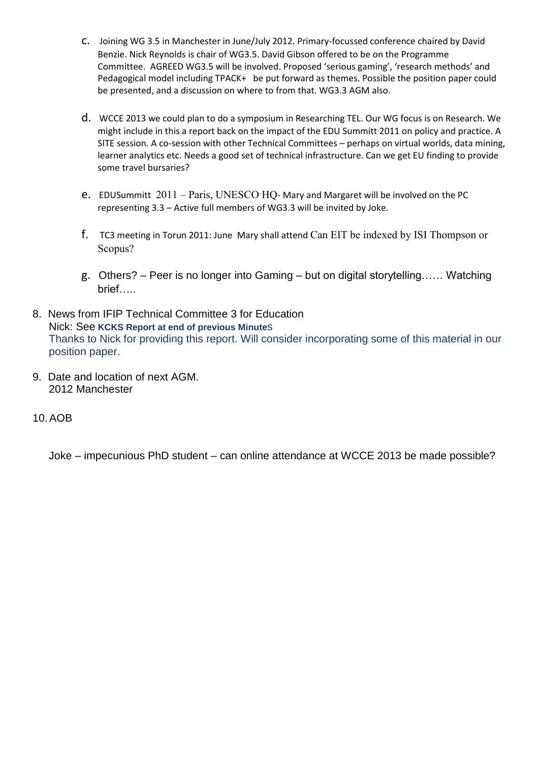- c. Joining WG 3.5 in Manchester in June/July 2012. Primary-focussed conference chaired by David Benzie. Nick Reynolds is chair of WG3.5. David Gibson offered to be on the Programme Committee. AGREED WG3.5 will be involved. Proposed 'serious gaming', 'research methods' and Pedagogical model including TPACK+ be put forward as themes. Possible the position paper could be presented, and a discussion on where to from that. WG3.3 AGM also.
- d. WCCE 2013 we could plan to do a symposium in Researching TEL. Our WG focus is on Research. We might include in this a report back on the impact of the EDU Summitt 2011 on policy and practice. A SITE session. A co-session with other Technical Committees – perhaps on virtual worlds, data mining, learner analytics etc. Needs a good set of technical infrastructure. Can we get EU finding to provide some travel bursaries?
- e. EDUSummitt 2011 Paris, UNESCO HQ- Mary and Margaret will be involved on the PC representing 3.3 – Active full members of WG3.3 will be invited by Joke.
- f. TC3 meeting in Torun 2011: June Mary shall attend Can EIT be indexed by ISI Thompson or Scopus?
- g. Others? Peer is no longer into Gaming but on digital storytelling…… Watching brief…..
- 8. News from IFIP Technical Committee 3 for Education Nick: See **KCKS Report at end of previous Minute**s Thanks to Nick for providing this report. Will consider incorporating some of this material in our position paper.
- 9. Date and location of next AGM. 2012 Manchester
- 10.AOB

Joke – impecunious PhD student – can online attendance at WCCE 2013 be made possible?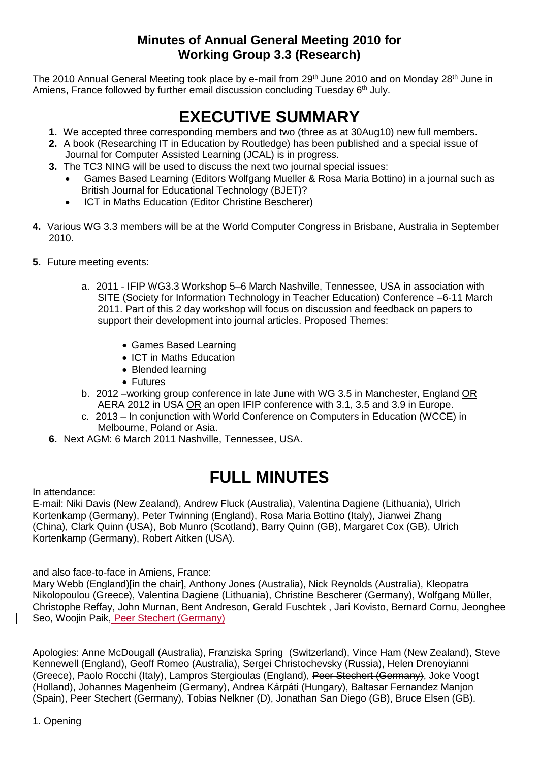# **Minutes of Annual General Meeting 2010 for Working Group 3.3 (Research)**

The 2010 Annual General Meeting took place by e-mail from 29<sup>th</sup> June 2010 and on Monday 28<sup>th</sup> June in Amiens, France followed by further email discussion concluding Tuesday 6<sup>th</sup> July.

# **EXECUTIVE SUMMARY**

- **1.** We accepted three corresponding members and two (three as at 30Aug10) new full members.
- **2.** A book (Researching IT in Education by Routledge) has been published and a special issue of Journal for Computer Assisted Learning (JCAL) is in progress.
- **3.** The TC3 NING will be used to discuss the next two journal special issues:
	- Games Based Learning (Editors Wolfgang Mueller & Rosa Maria Bottino) in a journal such as British Journal for Educational Technology (BJET)?
	- ICT in Maths Education (Editor Christine Bescherer)
- **4.** Various WG 3.3 members will be at the World Computer Congress in Brisbane, Australia in September 2010.
- **5.** Future meeting events:
	- a. 2011 IFIP WG3.3 Workshop 5–6 March Nashville, Tennessee, USA in association with SITE (Society for Information Technology in Teacher Education) Conference –6-11 March 2011. Part of this 2 day workshop will focus on discussion and feedback on papers to support their development into journal articles. Proposed Themes:
		- Games Based Learning
		- ICT in Maths Education
		- Blended learning
		- Futures
	- b. 2012 –working group conference in late June with WG 3.5 in Manchester, England OR AERA 2012 in USA OR an open IFIP conference with 3.1, 3.5 and 3.9 in Europe.
	- c. 2013 In conjunction with World Conference on Computers in Education (WCCE) in Melbourne, Poland or Asia.
	- **6.** Next AGM: 6 March 2011 Nashville, Tennessee, USA.

# **FULL MINUTES**

In attendance:

E-mail: Niki Davis (New Zealand), Andrew Fluck (Australia), Valentina Dagiene (Lithuania), Ulrich Kortenkamp (Germany), Peter Twinning (England), Rosa Maria Bottino (Italy), Jianwei Zhang (China), Clark Quinn (USA), Bob Munro (Scotland), Barry Quinn (GB), Margaret Cox (GB), Ulrich Kortenkamp (Germany), Robert Aitken (USA).

and also face-to-face in Amiens, France:

Mary Webb (England)[in the chair], Anthony Jones (Australia), Nick Reynolds (Australia), Kleopatra Nikolopoulou (Greece), Valentina Dagiene (Lithuania), Christine Bescherer (Germany), Wolfgang Müller, Christophe Reffay, John Murnan, Bent Andreson, Gerald Fuschtek , Jari Kovisto, Bernard Cornu, Jeonghee Seo, Woojin Paik, Peer Stechert (Germany)

Apologies: Anne McDougall (Australia), Franziska Spring (Switzerland), Vince Ham (New Zealand), Steve Kennewell (England), Geoff Romeo (Australia), Sergei Christochevsky (Russia), Helen Drenoyianni (Greece), Paolo Rocchi (Italy), Lampros Stergioulas (England), Peer Stechert (Germany), Joke Voogt (Holland), Johannes Magenheim (Germany), Andrea Kárpáti (Hungary), Baltasar Fernandez Manjon (Spain), Peer Stechert (Germany), Tobias Nelkner (D), Jonathan San Diego (GB), Bruce Elsen (GB).

1. Opening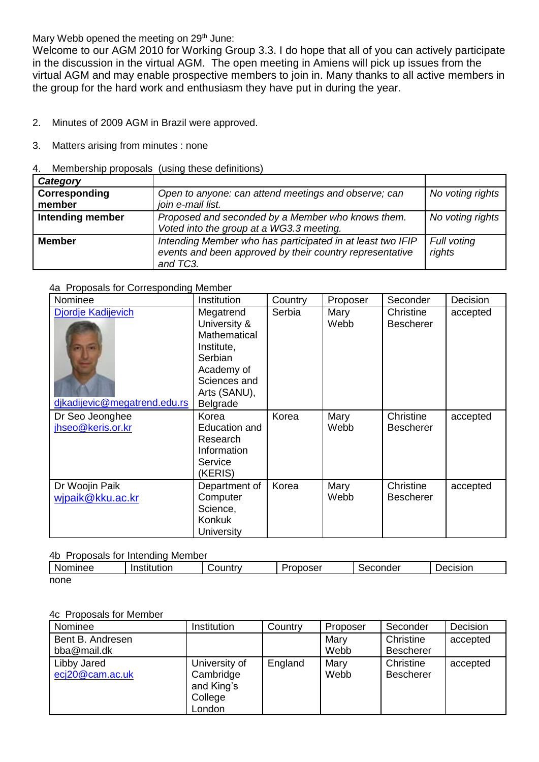Mary Webb opened the meeting on 29<sup>th</sup> June:

Welcome to our AGM 2010 for Working Group 3.3. I do hope that all of you can actively participate in the discussion in the virtual AGM. The open meeting in Amiens will pick up issues from the virtual AGM and may enable prospective members to join in. Many thanks to all active members in the group for the hard work and enthusiasm they have put in during the year.

2. Minutes of 2009 AGM in Brazil were approved.

- 3. Matters arising from minutes : none
- 4. Membership proposals (using these definitions)

| Category                |                                                                                                                                    |                       |
|-------------------------|------------------------------------------------------------------------------------------------------------------------------------|-----------------------|
| Corresponding<br>member | Open to anyone: can attend meetings and observe; can<br>join e-mail list.                                                          | No voting rights      |
| Intending member        | Proposed and seconded by a Member who knows them.<br>Voted into the group at a WG3.3 meeting.                                      | No voting rights      |
| <b>Member</b>           | Intending Member who has participated in at least two IFIP<br>events and been approved by their country representative<br>and TC3. | Full voting<br>rights |

#### 4a Proposals for Corresponding Member

| Nominee                                            | Institution                                                                                                                         | Country | Proposer     | Seconder                      | Decision |
|----------------------------------------------------|-------------------------------------------------------------------------------------------------------------------------------------|---------|--------------|-------------------------------|----------|
| Djordje Kadijevich<br>djkadijevic@megatrend.edu.rs | Megatrend<br>University &<br>Mathematical<br>Institute,<br>Serbian<br>Academy of<br>Sciences and<br>Arts (SANU),<br><b>Belgrade</b> | Serbia  | Mary<br>Webb | Christine<br><b>Bescherer</b> | accepted |
| Dr Seo Jeonghee<br>jhseo@keris.or.kr               | Korea<br>Education and<br>Research<br>Information<br>Service<br>(KERIS)                                                             | Korea   | Mary<br>Webb | Christine<br><b>Bescherer</b> | accepted |
| Dr Woojin Paik<br>wjpaik@kku.ac.kr                 | Department of<br>Computer<br>Science,<br>Konkuk<br>University                                                                       | Korea   | Mary<br>Webb | Christine<br><b>Bescherer</b> | accepted |

#### 4b Proposals for Intending Member

| Nominee | Institution | شountrٽ<br>- M | -<br>oposer <sup>.</sup><br>. .<br>. .<br>וטי | onder<br>ംലെ | Decision |
|---------|-------------|----------------|-----------------------------------------------|--------------|----------|
| none    |             |                |                                               |              |          |

#### 4c Proposals for Member

| Nominee                        | Institution                                                   | Country | Proposer     | Seconder                      | Decision |
|--------------------------------|---------------------------------------------------------------|---------|--------------|-------------------------------|----------|
| Bent B. Andresen               |                                                               |         | Mary         | Christine                     | accepted |
| bba@mail.dk                    |                                                               |         | Webb         | <b>Bescherer</b>              |          |
| Libby Jared<br>ecj20@cam.ac.uk | University of<br>Cambridge<br>and King's<br>College<br>London | England | Mary<br>Webb | Christine<br><b>Bescherer</b> | accepted |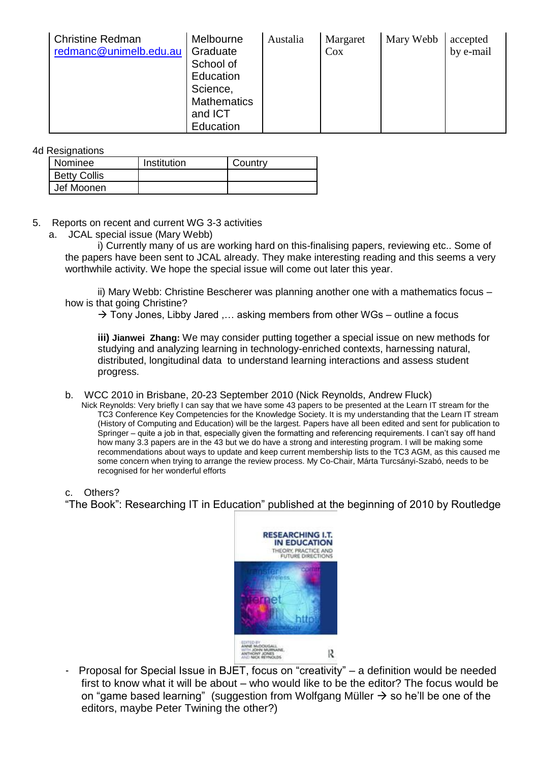| Christine Redman<br>redmanc@unimelb.edu.au | Melbourne<br>Graduate<br>School of<br>Education<br>Science,<br><b>Mathematics</b> | Austalia | Margaret<br>Cox | Mary Webb | accepted<br>by e-mail |
|--------------------------------------------|-----------------------------------------------------------------------------------|----------|-----------------|-----------|-----------------------|
|                                            | and ICT                                                                           |          |                 |           |                       |
|                                            | Education                                                                         |          |                 |           |                       |

4d Resignations

| Nominee             | Institution | Country |
|---------------------|-------------|---------|
| <b>Betty Collis</b> |             |         |
| Jef Moonen          |             |         |

#### 5. Reports on recent and current WG 3-3 activities

a. JCAL special issue (Mary Webb)

i) Currently many of us are working hard on this-finalising papers, reviewing etc.. Some of the papers have been sent to JCAL already. They make interesting reading and this seems a very worthwhile activity. We hope the special issue will come out later this year.

ii) Mary Webb: Christine Bescherer was planning another one with a mathematics focus – how is that going Christine?

 $\rightarrow$  Tony Jones, Libby Jared .... asking members from other WGs – outline a focus

**iii) Jianwei Zhang:** We may consider putting together a special issue on new methods for studying and analyzing learning in technology-enriched contexts, harnessing natural, distributed, longitudinal data to understand learning interactions and assess student progress.

b. WCC 2010 in Brisbane, 20-23 September 2010 (Nick Reynolds, Andrew Fluck)

Nick Reynolds: Very briefly I can say that we have some 43 papers to be presented at the Learn IT stream for the TC3 Conference Key Competencies for the Knowledge Society. It is my understanding that the Learn IT stream (History of Computing and Education) will be the largest. Papers have all been edited and sent for publication to Springer – quite a job in that, especially given the formatting and referencing requirements. I can't say off hand how many 3.3 papers are in the 43 but we do have a strong and interesting program. I will be making some recommendations about ways to update and keep current membership lists to the TC3 AGM, as this caused me some concern when trying to arrange the review process. My Co-Chair, Márta Turcsányi-Szabó, needs to be recognised for her wonderful efforts

c. Others?

"The Book": Researching IT in Education" published at the beginning of 2010 by Routledge



- Proposal for Special Issue in BJET, focus on "creativity" – a definition would be needed first to know what it will be about – who would like to be the editor? The focus would be on "game based learning" (suggestion from Wolfgang Müller  $\rightarrow$  so he'll be one of the editors, maybe Peter Twining the other?)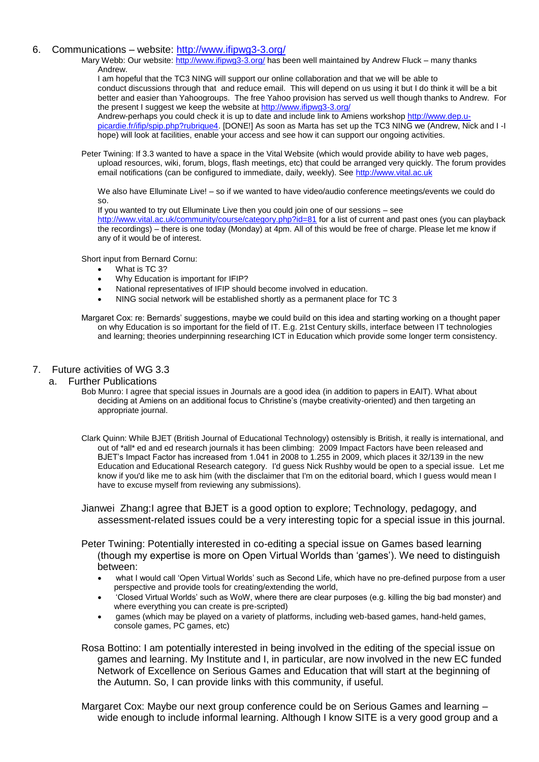#### 6. Communications – website:<http://www.ifipwg3-3.org/>

Mary Webb: Our website:<http://www.ifipwg3-3.org/> has been well maintained by Andrew Fluck – many thanks Andrew.

I am hopeful that the TC3 NING will support our online collaboration and that we will be able to conduct discussions through that and reduce email. This will depend on us using it but I do think it will be a bit better and easier than Yahoogroups. The free Yahoo provision has served us well though thanks to Andrew. For the present I suggest we keep the website a[t http://www.ifipwg3-3.org/](http://www.ifipwg3-3.org/)

Andrew-perhaps you could check it is up to date and include link to Amiens workshop [http://www.dep.u](http://www.dep.u-picardie.fr/ifip/spip.php?rubrique4)[picardie.fr/ifip/spip.php?rubrique4.](http://www.dep.u-picardie.fr/ifip/spip.php?rubrique4) [DONE!] As soon as Marta has set up the TC3 NING we (Andrew, Nick and I -I hope) will look at facilities, enable your access and see how it can support our ongoing activities.

Peter Twining: If 3.3 wanted to have a space in the Vital Website (which would provide ability to have web pages, upload resources, wiki, forum, blogs, flash meetings, etc) that could be arranged very quickly. The forum provides email notifications (can be configured to immediate, daily, weekly). See [http://www.vital.ac.uk](http://www.vital.ac.uk/)

We also have Elluminate Live! – so if we wanted to have video/audio conference meetings/events we could do so.

If you wanted to try out Elluminate Live then you could join one of our sessions – see

<http://www.vital.ac.uk/community/course/category.php?id=81> for a list of current and past ones (you can playback the recordings) – there is one today (Monday) at 4pm. All of this would be free of charge. Please let me know if any of it would be of interest.

Short input from Bernard Cornu:

- What is TC 3?
- Why Education is important for IFIP?
- National representatives of IFIP should become involved in education.
- NING social network will be established shortly as a permanent place for TC 3

Margaret Cox: re: Bernards' suggestions, maybe we could build on this idea and starting working on a thought paper on why Education is so important for the field of IT. E.g. 21st Century skills, interface between IT technologies and learning; theories underpinning researching ICT in Education which provide some longer term consistency.

#### 7. Future activities of WG 3.3

#### a. Further Publications

Bob Munro: I agree that special issues in Journals are a good idea (in addition to papers in EAIT). What about deciding at Amiens on an additional focus to Christine's (maybe creativity-oriented) and then targeting an appropriate journal.

Clark Quinn: While BJET (British Journal of Educational Technology) ostensibly is British, it really is international, and out of \*all\* ed and ed research journals it has been climbing: 2009 Impact Factors have been released and BJET's Impact Factor has increased from 1.041 in 2008 to 1.255 in 2009, which places it 32/139 in the new Education and Educational Research category. I'd guess Nick Rushby would be open to a special issue. Let me know if you'd like me to ask him (with the disclaimer that I'm on the editorial board, which I guess would mean I have to excuse myself from reviewing any submissions).

Jianwei Zhang:I agree that BJET is a good option to explore; Technology, pedagogy, and assessment-related issues could be a very interesting topic for a special issue in this journal.

Peter Twining: Potentially interested in co-editing a special issue on Games based learning (though my expertise is more on Open Virtual Worlds than 'games'). We need to distinguish between:

- what I would call 'Open Virtual Worlds' such as Second Life, which have no pre-defined purpose from a user perspective and provide tools for creating/extending the world,
- 'Closed Virtual Worlds' such as WoW, where there are clear purposes (e.g. killing the big bad monster) and where everything you can create is pre-scripted)
- games (which may be played on a variety of platforms, including web-based games, hand-held games, console games, PC games, etc)

Rosa Bottino: I am potentially interested in being involved in the editing of the special issue on games and learning. My Institute and I, in particular, are now involved in the new EC funded Network of Excellence on Serious Games and Education that will start at the beginning of the Autumn. So, I can provide links with this community, if useful.

Margaret Cox: Maybe our next group conference could be on Serious Games and learning – wide enough to include informal learning. Although I know SITE is a very good group and a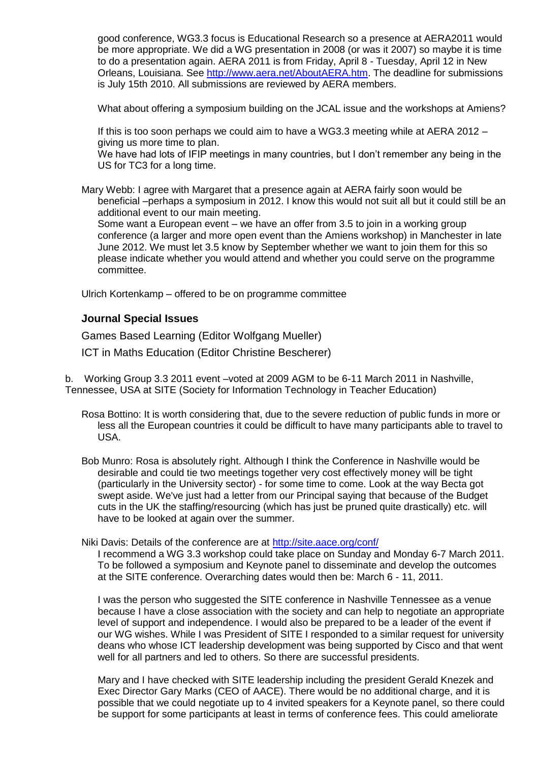good conference, WG3.3 focus is Educational Research so a presence at AERA2011 would be more appropriate. We did a WG presentation in 2008 (or was it 2007) so maybe it is time to do a presentation again. AERA 2011 is from Friday, April 8 - Tuesday, April 12 in New Orleans, Louisiana. See [http://www.aera.net/AboutAERA.htm.](http://www.aera.net/AboutAERA.htm) The deadline for submissions is July 15th 2010. All submissions are reviewed by AERA members.

What about offering a symposium building on the JCAL issue and the workshops at Amiens?

If this is too soon perhaps we could aim to have a WG3.3 meeting while at AERA 2012 – giving us more time to plan.

We have had lots of IFIP meetings in many countries, but I don't remember any being in the US for TC3 for a long time.

Mary Webb: I agree with Margaret that a presence again at AERA fairly soon would be beneficial –perhaps a symposium in 2012. I know this would not suit all but it could still be an additional event to our main meeting.

Some want a European event – we have an offer from 3.5 to join in a working group conference (a larger and more open event than the Amiens workshop) in Manchester in late June 2012. We must let 3.5 know by September whether we want to join them for this so please indicate whether you would attend and whether you could serve on the programme committee.

Ulrich Kortenkamp – offered to be on programme committee

#### **Journal Special Issues**

Games Based Learning (Editor Wolfgang Mueller)

ICT in Maths Education (Editor Christine Bescherer)

b. Working Group 3.3 2011 event –voted at 2009 AGM to be 6-11 March 2011 in Nashville, Tennessee, USA at SITE (Society for Information Technology in Teacher Education)

Rosa Bottino: It is worth considering that, due to the severe reduction of public funds in more or less all the European countries it could be difficult to have many participants able to travel to USA.

Bob Munro: Rosa is absolutely right. Although I think the Conference in Nashville would be desirable and could tie two meetings together very cost effectively money will be tight (particularly in the University sector) - for some time to come. Look at the way Becta got swept aside. We've just had a letter from our Principal saying that because of the Budget cuts in the UK the staffing/resourcing (which has just be pruned quite drastically) etc. will have to be looked at again over the summer.

Niki Davis: Details of the conference are at<http://site.aace.org/conf/>

I recommend a WG 3.3 workshop could take place on Sunday and Monday 6-7 March 2011. To be followed a symposium and Keynote panel to disseminate and develop the outcomes at the SITE conference. Overarching dates would then be: March 6 - 11, 2011.

I was the person who suggested the SITE conference in Nashville Tennessee as a venue because I have a close association with the society and can help to negotiate an appropriate level of support and independence. I would also be prepared to be a leader of the event if our WG wishes. While I was President of SITE I responded to a similar request for university deans who whose ICT leadership development was being supported by Cisco and that went well for all partners and led to others. So there are successful presidents.

Mary and I have checked with SITE leadership including the president Gerald Knezek and Exec Director Gary Marks (CEO of AACE). There would be no additional charge, and it is possible that we could negotiate up to 4 invited speakers for a Keynote panel, so there could be support for some participants at least in terms of conference fees. This could ameliorate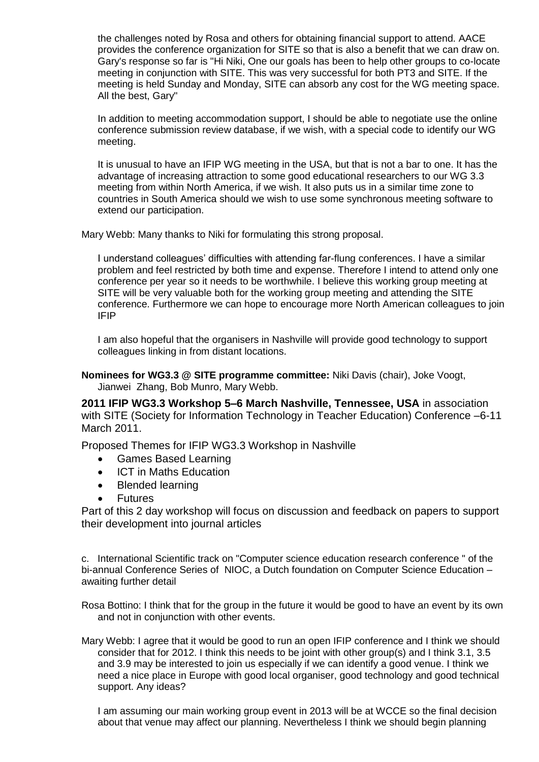the challenges noted by Rosa and others for obtaining financial support to attend. AACE provides the conference organization for SITE so that is also a benefit that we can draw on. Gary's response so far is "Hi Niki, One our goals has been to help other groups to co-locate meeting in conjunction with SITE. This was very successful for both PT3 and SITE. If the meeting is held Sunday and Monday, SITE can absorb any cost for the WG meeting space. All the best, Gary"

In addition to meeting accommodation support, I should be able to negotiate use the online conference submission review database, if we wish, with a special code to identify our WG meeting.

It is unusual to have an IFIP WG meeting in the USA, but that is not a bar to one. It has the advantage of increasing attraction to some good educational researchers to our WG 3.3 meeting from within North America, if we wish. It also puts us in a similar time zone to countries in South America should we wish to use some synchronous meeting software to extend our participation.

Mary Webb: Many thanks to Niki for formulating this strong proposal.

I understand colleagues' difficulties with attending far-flung conferences. I have a similar problem and feel restricted by both time and expense. Therefore I intend to attend only one conference per year so it needs to be worthwhile. I believe this working group meeting at SITE will be very valuable both for the working group meeting and attending the SITE conference. Furthermore we can hope to encourage more North American colleagues to join IFIP

I am also hopeful that the organisers in Nashville will provide good technology to support colleagues linking in from distant locations.

**Nominees for WG3.3 @ SITE programme committee:** Niki Davis (chair), Joke Voogt, Jianwei Zhang, Bob Munro, Mary Webb.

**2011 IFIP WG3.3 Workshop 5–6 March Nashville, Tennessee, USA** in association with SITE (Society for Information Technology in Teacher Education) Conference –6-11 March 2011.

Proposed Themes for IFIP WG3.3 Workshop in Nashville

- Games Based Learning
- ICT in Maths Education
- Blended learning
- **Futures**

Part of this 2 day workshop will focus on discussion and feedback on papers to support their development into journal articles

c. International Scientific track on "Computer science education research conference " of the bi-annual Conference Series of NIOC, a Dutch foundation on Computer Science Education – awaiting further detail

Rosa Bottino: I think that for the group in the future it would be good to have an event by its own and not in conjunction with other events.

Mary Webb: I agree that it would be good to run an open IFIP conference and I think we should consider that for 2012. I think this needs to be joint with other group(s) and I think 3.1, 3.5 and 3.9 may be interested to join us especially if we can identify a good venue. I think we need a nice place in Europe with good local organiser, good technology and good technical support. Any ideas?

I am assuming our main working group event in 2013 will be at WCCE so the final decision about that venue may affect our planning. Nevertheless I think we should begin planning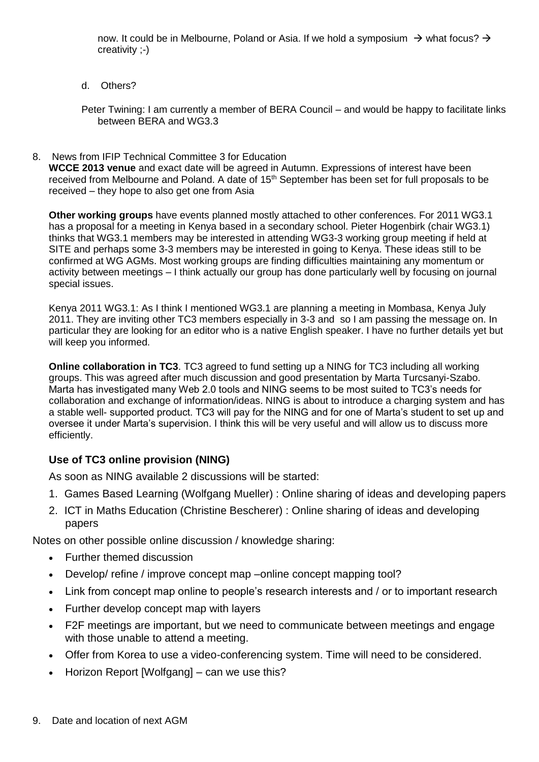now. It could be in Melbourne, Poland or Asia. If we hold a symposium  $\rightarrow$  what focus?  $\rightarrow$ creativity ;-)

d. Others?

Peter Twining: I am currently a member of BERA Council – and would be happy to facilitate links between BERA and WG3.3

8. News from IFIP Technical Committee 3 for Education

**WCCE 2013 venue** and exact date will be agreed in Autumn. Expressions of interest have been received from Melbourne and Poland. A date of 15<sup>th</sup> September has been set for full proposals to be received – they hope to also get one from Asia

**Other working groups** have events planned mostly attached to other conferences. For 2011 WG3.1 has a proposal for a meeting in Kenya based in a secondary school. Pieter Hogenbirk (chair WG3.1) thinks that WG3.1 members may be interested in attending WG3-3 working group meeting if held at SITE and perhaps some 3-3 members may be interested in going to Kenya. These ideas still to be confirmed at WG AGMs. Most working groups are finding difficulties maintaining any momentum or activity between meetings – I think actually our group has done particularly well by focusing on journal special issues.

Kenya 2011 WG3.1: As I think I mentioned WG3.1 are planning a meeting in Mombasa, Kenya July 2011. They are inviting other TC3 members especially in 3-3 and so I am passing the message on. In particular they are looking for an editor who is a native English speaker. I have no further details yet but will keep you informed.

**Online collaboration in TC3**. TC3 agreed to fund setting up a NING for TC3 including all working groups. This was agreed after much discussion and good presentation by Marta Turcsanyi-Szabo. Marta has investigated many Web 2.0 tools and NING seems to be most suited to TC3's needs for collaboration and exchange of information/ideas. NING is about to introduce a charging system and has a stable well- supported product. TC3 will pay for the NING and for one of Marta's student to set up and oversee it under Marta's supervision. I think this will be very useful and will allow us to discuss more efficiently.

# **Use of TC3 online provision (NING)**

As soon as NING available 2 discussions will be started:

- 1. Games Based Learning (Wolfgang Mueller) : Online sharing of ideas and developing papers
- 2. ICT in Maths Education (Christine Bescherer) : Online sharing of ideas and developing papers

Notes on other possible online discussion / knowledge sharing:

- Further themed discussion
- Develop/ refine / improve concept map –online concept mapping tool?
- Link from concept map online to people's research interests and / or to important research
- Further develop concept map with layers
- F2F meetings are important, but we need to communicate between meetings and engage with those unable to attend a meeting.
- Offer from Korea to use a video-conferencing system. Time will need to be considered.
- Horizon Report [Wolfgang] can we use this?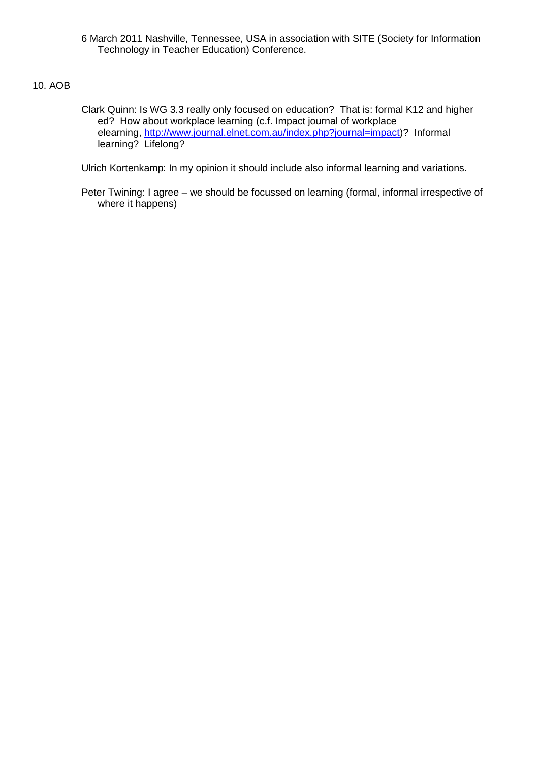6 March 2011 Nashville, Tennessee, USA in association with SITE (Society for Information Technology in Teacher Education) Conference.

# 10. AOB

Clark Quinn: Is WG 3.3 really only focused on education? That is: formal K12 and higher ed? How about workplace learning (c.f. Impact journal of workplace elearning, [http://www.journal.elnet.com.au/index.php?journal=impact\)](http://www.journal.elnet.com.au/index.php?journ%21%0d%0a%20al=impact)? Informal learning? Lifelong?

Ulrich Kortenkamp: In my opinion it should include also informal learning and variations.

Peter Twining: I agree – we should be focussed on learning (formal, informal irrespective of where it happens)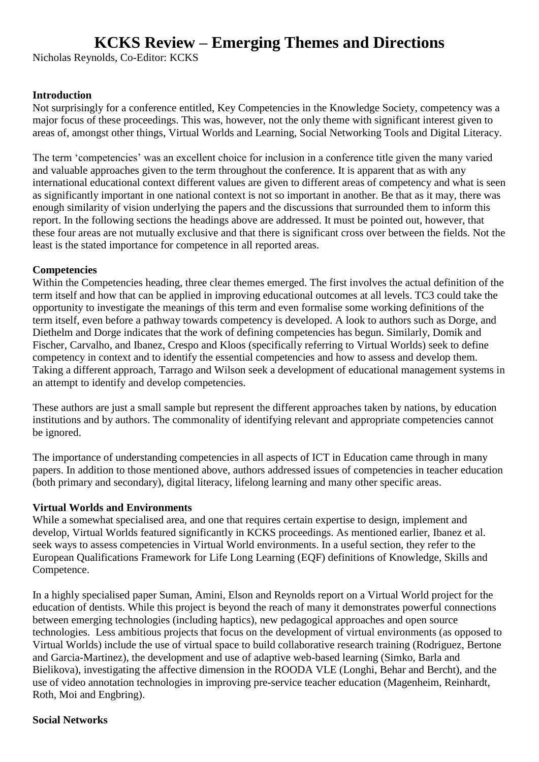# **KCKS Review – Emerging Themes and Directions**

Nicholas Reynolds, Co-Editor: KCKS

# **Introduction**

Not surprisingly for a conference entitled, Key Competencies in the Knowledge Society, competency was a major focus of these proceedings. This was, however, not the only theme with significant interest given to areas of, amongst other things, Virtual Worlds and Learning, Social Networking Tools and Digital Literacy.

The term 'competencies' was an excellent choice for inclusion in a conference title given the many varied and valuable approaches given to the term throughout the conference. It is apparent that as with any international educational context different values are given to different areas of competency and what is seen as significantly important in one national context is not so important in another. Be that as it may, there was enough similarity of vision underlying the papers and the discussions that surrounded them to inform this report. In the following sections the headings above are addressed. It must be pointed out, however, that these four areas are not mutually exclusive and that there is significant cross over between the fields. Not the least is the stated importance for competence in all reported areas.

# **Competencies**

Within the Competencies heading, three clear themes emerged. The first involves the actual definition of the term itself and how that can be applied in improving educational outcomes at all levels. TC3 could take the opportunity to investigate the meanings of this term and even formalise some working definitions of the term itself, even before a pathway towards competency is developed. A look to authors such as Dorge, and Diethelm and Dorge indicates that the work of defining competencies has begun. Similarly, Domik and Fischer, Carvalho, and Ibanez, Crespo and Kloos (specifically referring to Virtual Worlds) seek to define competency in context and to identify the essential competencies and how to assess and develop them. Taking a different approach, Tarrago and Wilson seek a development of educational management systems in an attempt to identify and develop competencies.

These authors are just a small sample but represent the different approaches taken by nations, by education institutions and by authors. The commonality of identifying relevant and appropriate competencies cannot be ignored.

The importance of understanding competencies in all aspects of ICT in Education came through in many papers. In addition to those mentioned above, authors addressed issues of competencies in teacher education (both primary and secondary), digital literacy, lifelong learning and many other specific areas.

# **Virtual Worlds and Environments**

While a somewhat specialised area, and one that requires certain expertise to design, implement and develop, Virtual Worlds featured significantly in KCKS proceedings. As mentioned earlier, Ibanez et al. seek ways to assess competencies in Virtual World environments. In a useful section, they refer to the European Qualifications Framework for Life Long Learning (EQF) definitions of Knowledge, Skills and Competence.

In a highly specialised paper Suman, Amini, Elson and Reynolds report on a Virtual World project for the education of dentists. While this project is beyond the reach of many it demonstrates powerful connections between emerging technologies (including haptics), new pedagogical approaches and open source technologies. Less ambitious projects that focus on the development of virtual environments (as opposed to Virtual Worlds) include the use of virtual space to build collaborative research training (Rodriguez, Bertone and Garcia-Martinez), the development and use of adaptive web-based learning (Simko, Barla and Bielikova), investigating the affective dimension in the ROODA VLE (Longhi, Behar and Bercht), and the use of video annotation technologies in improving pre-service teacher education (Magenheim, Reinhardt, Roth, Moi and Engbring).

#### **Social Networks**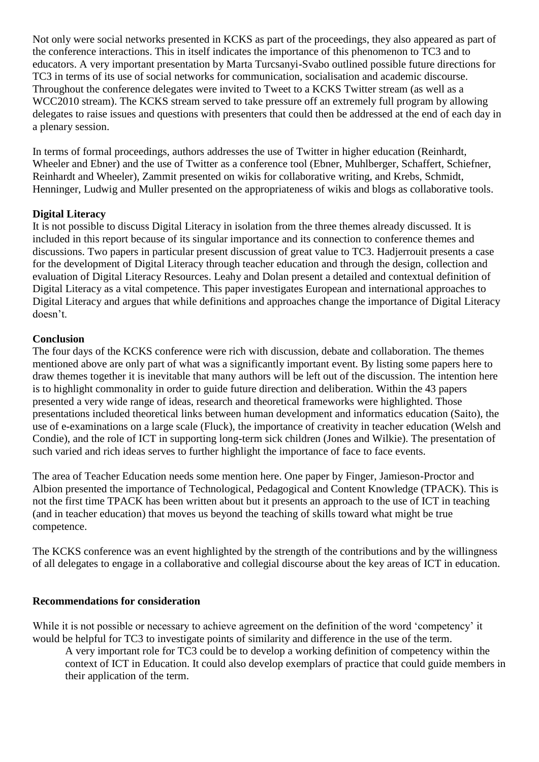Not only were social networks presented in KCKS as part of the proceedings, they also appeared as part of the conference interactions. This in itself indicates the importance of this phenomenon to TC3 and to educators. A very important presentation by Marta Turcsanyi-Svabo outlined possible future directions for TC3 in terms of its use of social networks for communication, socialisation and academic discourse. Throughout the conference delegates were invited to Tweet to a KCKS Twitter stream (as well as a WCC2010 stream). The KCKS stream served to take pressure off an extremely full program by allowing delegates to raise issues and questions with presenters that could then be addressed at the end of each day in a plenary session.

In terms of formal proceedings, authors addresses the use of Twitter in higher education (Reinhardt, Wheeler and Ebner) and the use of Twitter as a conference tool (Ebner, Muhlberger, Schaffert, Schiefner, Reinhardt and Wheeler), Zammit presented on wikis for collaborative writing, and Krebs, Schmidt, Henninger, Ludwig and Muller presented on the appropriateness of wikis and blogs as collaborative tools.

# **Digital Literacy**

It is not possible to discuss Digital Literacy in isolation from the three themes already discussed. It is included in this report because of its singular importance and its connection to conference themes and discussions. Two papers in particular present discussion of great value to TC3. Hadjerrouit presents a case for the development of Digital Literacy through teacher education and through the design, collection and evaluation of Digital Literacy Resources. Leahy and Dolan present a detailed and contextual definition of Digital Literacy as a vital competence. This paper investigates European and international approaches to Digital Literacy and argues that while definitions and approaches change the importance of Digital Literacy doesn't.

# **Conclusion**

The four days of the KCKS conference were rich with discussion, debate and collaboration. The themes mentioned above are only part of what was a significantly important event. By listing some papers here to draw themes together it is inevitable that many authors will be left out of the discussion. The intention here is to highlight commonality in order to guide future direction and deliberation. Within the 43 papers presented a very wide range of ideas, research and theoretical frameworks were highlighted. Those presentations included theoretical links between human development and informatics education (Saito), the use of e-examinations on a large scale (Fluck), the importance of creativity in teacher education (Welsh and Condie), and the role of ICT in supporting long-term sick children (Jones and Wilkie). The presentation of such varied and rich ideas serves to further highlight the importance of face to face events.

The area of Teacher Education needs some mention here. One paper by Finger, Jamieson-Proctor and Albion presented the importance of Technological, Pedagogical and Content Knowledge (TPACK). This is not the first time TPACK has been written about but it presents an approach to the use of ICT in teaching (and in teacher education) that moves us beyond the teaching of skills toward what might be true competence.

The KCKS conference was an event highlighted by the strength of the contributions and by the willingness of all delegates to engage in a collaborative and collegial discourse about the key areas of ICT in education.

# **Recommendations for consideration**

While it is not possible or necessary to achieve agreement on the definition of the word 'competency' it would be helpful for TC3 to investigate points of similarity and difference in the use of the term.

A very important role for TC3 could be to develop a working definition of competency within the context of ICT in Education. It could also develop exemplars of practice that could guide members in their application of the term.